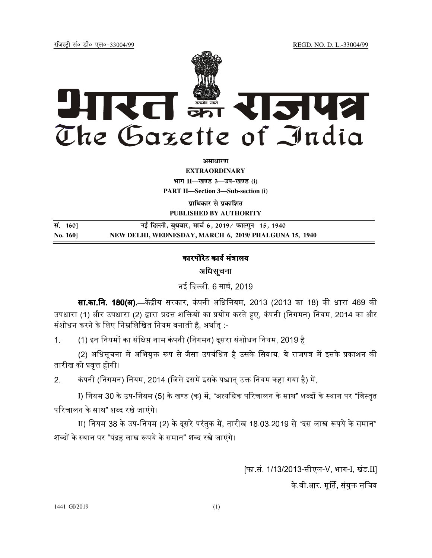REGD. NO. D. L.-33004/99

रजिस्टी सं० डी० एल०-33004/99



अमाधारण

**EXTRAORDINARY** भाग II-खण्ड 3-उप-खण्ड (i) **PART II-Section 3-Sub-section (i)** 

प्राधिकार से प्रकाशित PUBLISHED BY AUTHORITY

सं. 160] नई दिल्ली, बुधवार, मार्च 6, 2019 ∕ फाल्गुन 15, 1940 NEW DELHI, WEDNESDAY, MARCH 6, 2019/ PHALGUNA 15, 1940 No. 1601

## कारपोरेट कार्य मंत्रालय

अधिसूचना

नई दिल्ली, 6 मार्च, 2019

**सा.का.नि. 180(अ).—**केंद्रीय सरकार, कंपनी अधिनियम, 2013 (2013 का 18) की धारा 469 की उपधारा (1) और उपधारा (2) द्वारा प्रदत्त शक्तियों का प्रयोग करते हुए, कंपनी (निगमन) नियम, 2014 का और संशोधन करने के लिए निम्नलिखित नियम बनाती है. अर्थात :-

(1) इन नियमों का संक्षिप्त नाम कंपनी (निगमन) दूसरा संशोधन नियम, 2019 है।  $\mathbf 1$ 

(2) अधिसूचना में अभियुक्त रूप से जैसा उपबंधित है उसके सिवाय, ये राजपत्र में इसके प्रकाशन की तारीख को प्रवृत्त होगी।

 $2.$ कंपनी (निगमन) नियम, 2014 (जिसे इसमें इसके पश्चात् उक्त नियम कहा गया है) में,

I) नियम 30 के उप-नियम (5) के खण्ड (क) में, "अत्यधिक परिचालन के साथ" शब्दों के स्थान पर "विस्तृत परिचालन के साथ" शब्द रखे जाएंगे।

II) नियम 38 के उप-नियम (2) के दूसरे परंतुक में, तारीख 18.03.2019 से "दस लाख रूपये के समान" शब्दों के स्थान पर "पंद्रह लाख रूपये के समान" शब्द रखे जाएंगे।

> [फा.सं. 1/13/2013-सीएल-V, भाग-I, खंड II] के वी आर. मूर्ति, संयुक्त सचिव

1441 GI/2019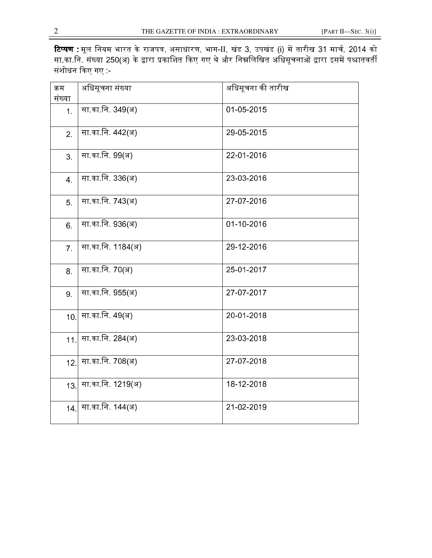**टिप्पण** : मूल नियम भारत के राजपत्र, असाधारण, भाग-II, खंड 3, उपखंड (i) में तारीख 31 मार्च, 2014 को सा.का.नि. संख्या 250(अ) के द्वारा प्रकाशित किए गए थे और निम्नलिखित अधिसचनाओं द्वारा इसमें पश्चातवर्ती संशोधन किए गए $\,$  :-

| क्रम           | अधिसूचना संख्या       | अधिसूचना की तारीख |
|----------------|-----------------------|-------------------|
| संख्या         |                       |                   |
| 1.             | सा का नि. 349(अ)      | 01-05-2015        |
|                |                       |                   |
|                | सा.का.नि. 442(अ)      | 29-05-2015        |
| 2 <sup>1</sup> |                       |                   |
|                |                       |                   |
| 3 <sub>1</sub> | सा का नि. 99(अ)       | 22-01-2016        |
|                |                       |                   |
|                |                       |                   |
| 4.             | सा का नि. 336(अ)      | 23-03-2016        |
|                |                       |                   |
| 5.             | —<br>सा.का.नि. 743(अ) | 27-07-2016        |
|                |                       |                   |
|                |                       |                   |
| 6.             | सा.का.नि. 936(अ)      | 01-10-2016        |
|                |                       |                   |
|                |                       | 29-12-2016        |
| 7 <sup>1</sup> | सा.का.नि. 1184(अ)     |                   |
|                |                       |                   |
| 8.             | सा.का.नि. 70(अ)       | 25-01-2017        |
|                |                       |                   |
|                |                       |                   |
| 9.             | सा.का.नि. 955(अ)      | 27-07-2017        |
|                |                       |                   |
| 10.            | सा का नि. 49(अ)       | 20-01-2018        |
|                |                       |                   |
|                |                       |                   |
| 11.            | सा का नि. 284(अ)      | 23-03-2018        |
|                |                       |                   |
|                | सा.का.नि. 708(अ)      | 27-07-2018        |
| 12.            |                       |                   |
|                |                       |                   |
| 13.            | सा.का.नि. 1219(अ)     | 18-12-2018        |
|                |                       |                   |
|                |                       |                   |
| 14.            | सा का नि. 144(अ)      | 21-02-2019        |
|                |                       |                   |